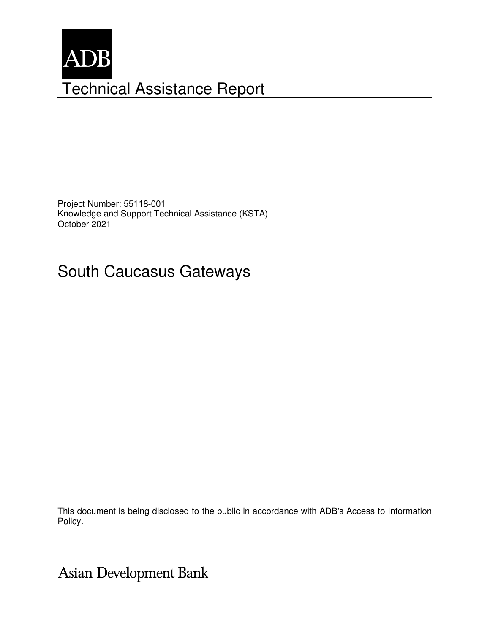

Project Number: 55118-001 Knowledge and Support Technical Assistance (KSTA) October 2021

# South Caucasus Gateways

This document is being disclosed to the public in accordance with ADB's Access to Information Policy.

Asian Development Bank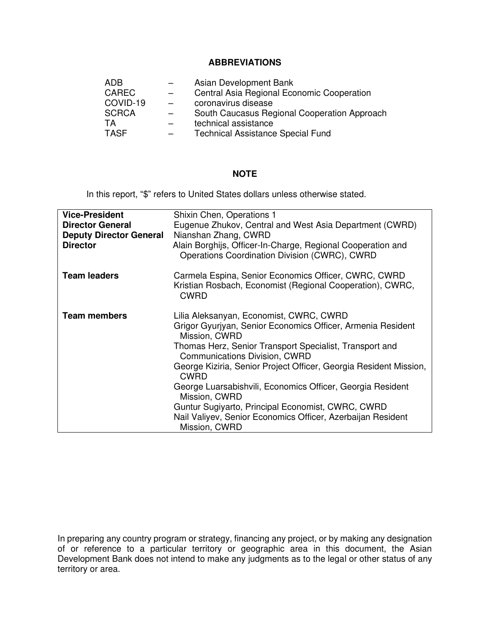#### **ABBREVIATIONS**

| ADB          |     | Asian Development Bank                       |
|--------------|-----|----------------------------------------------|
| <b>CAREC</b> | $-$ | Central Asia Regional Economic Cooperation   |
| COVID-19     |     | coronavirus disease                          |
| <b>SCRCA</b> |     | South Caucasus Regional Cooperation Approach |
| TA           |     | technical assistance                         |
| <b>TASF</b>  |     | <b>Technical Assistance Special Fund</b>     |

## **NOTE**

In this report, "\$" refers to United States dollars unless otherwise stated.

| <b>Vice-President</b>          | Shixin Chen, Operations 1                                                                                                        |  |  |  |
|--------------------------------|----------------------------------------------------------------------------------------------------------------------------------|--|--|--|
| <b>Director General</b>        | Eugenue Zhukov, Central and West Asia Department (CWRD)                                                                          |  |  |  |
| <b>Deputy Director General</b> | Nianshan Zhang, CWRD                                                                                                             |  |  |  |
| <b>Director</b>                | Alain Borghijs, Officer-In-Charge, Regional Cooperation and<br>Operations Coordination Division (CWRC), CWRD                     |  |  |  |
| <b>Team leaders</b>            | Carmela Espina, Senior Economics Officer, CWRC, CWRD<br>Kristian Rosbach, Economist (Regional Cooperation), CWRC,<br><b>CWRD</b> |  |  |  |
| <b>Team members</b>            | Lilia Aleksanyan, Economist, CWRC, CWRD                                                                                          |  |  |  |
|                                | Grigor Gyurjyan, Senior Economics Officer, Armenia Resident<br>Mission, CWRD                                                     |  |  |  |
|                                | Thomas Herz, Senior Transport Specialist, Transport and<br>Communications Division, CWRD                                         |  |  |  |
|                                | George Kiziria, Senior Project Officer, Georgia Resident Mission,<br><b>CWRD</b>                                                 |  |  |  |
|                                | George Luarsabishvili, Economics Officer, Georgia Resident<br>Mission, CWRD                                                      |  |  |  |
|                                | Guntur Sugiyarto, Principal Economist, CWRC, CWRD                                                                                |  |  |  |
|                                | Nail Valiyev, Senior Economics Officer, Azerbaijan Resident                                                                      |  |  |  |
|                                | Mission, CWRD                                                                                                                    |  |  |  |
|                                |                                                                                                                                  |  |  |  |

In preparing any country program or strategy, financing any project, or by making any designation of or reference to a particular territory or geographic area in this document, the Asian Development Bank does not intend to make any judgments as to the legal or other status of any territory or area.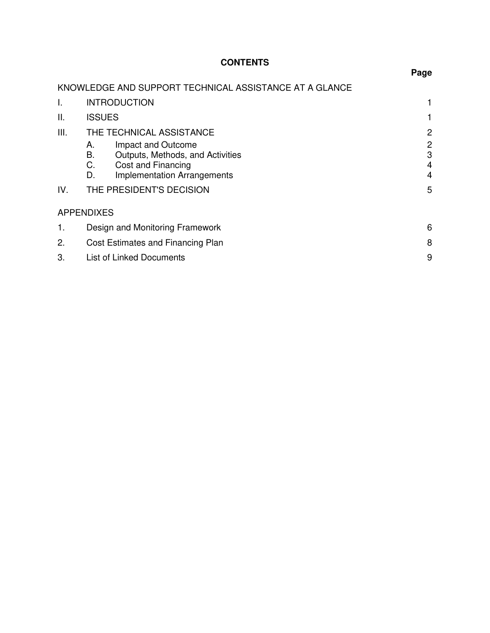## **CONTENTS**

|      |                                                                                                                                            | Page                                     |
|------|--------------------------------------------------------------------------------------------------------------------------------------------|------------------------------------------|
|      | KNOWLEDGE AND SUPPORT TECHNICAL ASSISTANCE AT A GLANCE                                                                                     |                                          |
| I.   | <b>INTRODUCTION</b>                                                                                                                        |                                          |
| ΙΙ.  | <b>ISSUES</b>                                                                                                                              |                                          |
| III. | THE TECHNICAL ASSISTANCE                                                                                                                   | 2                                        |
|      | Impact and Outcome<br>А.<br>Outputs, Methods, and Activities<br>В.<br>C.<br>Cost and Financing<br><b>Implementation Arrangements</b><br>D. | $\mathbf{2}$<br>3<br>$\overline{4}$<br>4 |
| IV.  | THE PRESIDENT'S DECISION                                                                                                                   | 5                                        |
|      | <b>APPENDIXES</b>                                                                                                                          |                                          |
| 1.   | Design and Monitoring Framework                                                                                                            | 6                                        |
| 2.   | Cost Estimates and Financing Plan                                                                                                          | 8                                        |
| 3.   | List of Linked Documents                                                                                                                   | 9                                        |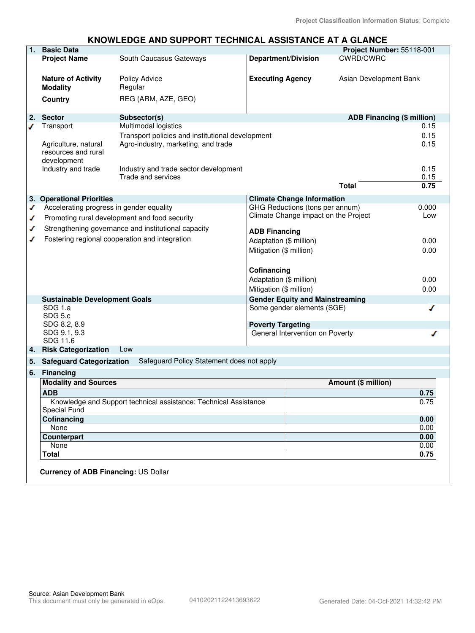#### **KNOWLEDGE AND SUPPORT TECHNICAL ASSISTANCE AT A GLANCE**

| 1. | <b>Basic Data</b>                           |                                                                  |                                 |                                        | Project Number: 55118-001         |       |
|----|---------------------------------------------|------------------------------------------------------------------|---------------------------------|----------------------------------------|-----------------------------------|-------|
|    | <b>Project Name</b>                         | South Caucasus Gateways                                          | <b>Department/Division</b>      |                                        | <b>CWRD/CWRC</b>                  |       |
|    |                                             |                                                                  |                                 |                                        |                                   |       |
|    | <b>Nature of Activity</b>                   | <b>Policy Advice</b>                                             | <b>Executing Agency</b>         |                                        | Asian Development Bank            |       |
|    | <b>Modality</b>                             | Regular                                                          |                                 |                                        |                                   |       |
|    | Country                                     | REG (ARM, AZE, GEO)                                              |                                 |                                        |                                   |       |
|    |                                             |                                                                  |                                 |                                        |                                   |       |
| 2. | <b>Sector</b>                               | Subsector(s)                                                     |                                 |                                        | <b>ADB Financing (\$ million)</b> |       |
| ℐ  | Transport                                   | Multimodal logistics                                             |                                 |                                        |                                   | 0.15  |
|    |                                             | Transport policies and institutional development                 |                                 |                                        |                                   | 0.15  |
|    | Agriculture, natural                        | Agro-industry, marketing, and trade                              |                                 |                                        |                                   | 0.15  |
|    | resources and rural                         |                                                                  |                                 |                                        |                                   |       |
|    | development                                 |                                                                  |                                 |                                        |                                   |       |
|    | Industry and trade                          | Industry and trade sector development                            |                                 |                                        |                                   | 0.15  |
|    |                                             | Trade and services                                               |                                 |                                        |                                   | 0.15  |
|    |                                             |                                                                  |                                 |                                        | <b>Total</b>                      | 0.75  |
|    | 3. Operational Priorities                   |                                                                  |                                 | <b>Climate Change Information</b>      |                                   |       |
| ✔  | Accelerating progress in gender equality    |                                                                  |                                 | GHG Reductions (tons per annum)        |                                   | 0.000 |
| ✔  |                                             | Promoting rural development and food security                    |                                 | Climate Change impact on the Project   |                                   | Low   |
|    |                                             |                                                                  |                                 |                                        |                                   |       |
| ✔  |                                             | Strengthening governance and institutional capacity              | <b>ADB Financing</b>            |                                        |                                   |       |
| ◢  |                                             | Fostering regional cooperation and integration                   | Adaptation (\$ million)         |                                        |                                   | 0.00  |
|    |                                             |                                                                  | Mitigation (\$ million)         |                                        |                                   | 0.00  |
|    |                                             |                                                                  |                                 |                                        |                                   |       |
|    |                                             |                                                                  | Cofinancing                     |                                        |                                   |       |
|    |                                             |                                                                  | Adaptation (\$ million)         |                                        |                                   | 0.00  |
|    |                                             |                                                                  | Mitigation (\$ million)         |                                        |                                   | 0.00  |
|    | <b>Sustainable Development Goals</b>        |                                                                  |                                 | <b>Gender Equity and Mainstreaming</b> |                                   |       |
|    | SDG 1.a                                     |                                                                  |                                 | Some gender elements (SGE)             |                                   | ℐ     |
|    | SDG 5.c                                     |                                                                  |                                 |                                        |                                   |       |
|    | SDG 8.2, 8.9                                |                                                                  | <b>Poverty Targeting</b>        |                                        |                                   |       |
|    | SDG 9.1, 9.3                                |                                                                  | General Intervention on Poverty |                                        | ∕                                 |       |
|    | SDG 11.6                                    |                                                                  |                                 |                                        |                                   |       |
|    | 4. Risk Categorization                      | Low                                                              |                                 |                                        |                                   |       |
| 5. | <b>Safeguard Categorization</b>             | Safeguard Policy Statement does not apply                        |                                 |                                        |                                   |       |
| 6. | <b>Financing</b>                            |                                                                  |                                 |                                        |                                   |       |
|    | <b>Modality and Sources</b>                 |                                                                  |                                 |                                        | <b>Amount (\$ million)</b>        |       |
|    | <b>ADB</b>                                  |                                                                  |                                 |                                        |                                   | 0.75  |
|    |                                             | Knowledge and Support technical assistance: Technical Assistance |                                 |                                        |                                   | 0.75  |
|    | <b>Special Fund</b>                         |                                                                  |                                 |                                        |                                   |       |
|    | Cofinancing                                 |                                                                  |                                 |                                        |                                   | 0.00  |
|    | None                                        |                                                                  |                                 |                                        |                                   | 0.00  |
|    | Counterpart                                 |                                                                  |                                 |                                        |                                   | 0.00  |
|    | None                                        |                                                                  |                                 |                                        |                                   | 0.00  |
|    | <b>Total</b>                                |                                                                  |                                 |                                        |                                   | 0.75  |
|    |                                             |                                                                  |                                 |                                        |                                   |       |
|    | <b>Currency of ADB Financing: US Dollar</b> |                                                                  |                                 |                                        |                                   |       |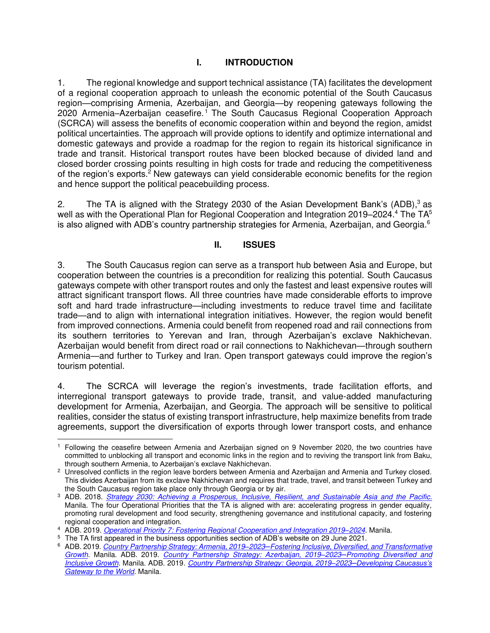#### **I. INTRODUCTION**

1. The regional knowledge and support technical assistance (TA) facilitates the development of a regional cooperation approach to unleash the economic potential of the South Caucasus region—comprising Armenia, Azerbaijan, and Georgia—by reopening gateways following the 2020 Armenia–Azerbaijan ceasefire.<sup>1</sup> The South Caucasus Regional Cooperation Approach (SCRCA) will assess the benefits of economic cooperation within and beyond the region, amidst political uncertainties. The approach will provide options to identify and optimize international and domestic gateways and provide a roadmap for the region to regain its historical significance in trade and transit. Historical transport routes have been blocked because of divided land and closed border crossing points resulting in high costs for trade and reducing the competitiveness of the region's exports.<sup>2</sup> New gateways can yield considerable economic benefits for the region and hence support the political peacebuilding process.

2. The TA is aligned with the Strategy 2030 of the Asian Development Bank's (ADB), $3$  as well as with the Operational Plan for Regional Cooperation and Integration 2019–2024. $4$  The TA $^5$ is also aligned with ADB's country partnership strategies for Armenia, Azerbaijan, and Georgia. $^6$ 

#### **II. ISSUES**

3. The South Caucasus region can serve as a transport hub between Asia and Europe, but cooperation between the countries is a precondition for realizing this potential. South Caucasus gateways compete with other transport routes and only the fastest and least expensive routes will attract significant transport flows. All three countries have made considerable efforts to improve soft and hard trade infrastructure—including investments to reduce travel time and facilitate trade—and to align with international integration initiatives. However, the region would benefit from improved connections. Armenia could benefit from reopened road and rail connections from its southern territories to Yerevan and Iran, through Azerbaijan's exclave Nakhichevan. Azerbaijan would benefit from direct road or rail connections to Nakhichevan—through southern Armenia—and further to Turkey and Iran. Open transport gateways could improve the region's tourism potential.

4. The SCRCA will leverage the region's investments, trade facilitation efforts, and interregional transport gateways to provide trade, transit, and value-added manufacturing development for Armenia, Azerbaijan, and Georgia. The approach will be sensitive to political realities, consider the status of existing transport infrastructure, help maximize benefits from trade agreements, support the diversification of exports through lower transport costs, and enhance

<sup>1</sup> Following the ceasefire between Armenia and Azerbaijan signed on 9 November 2020, the two countries have committed to unblocking all transport and economic links in the region and to reviving the transport link from Baku, through southern Armenia, to Azerbaijan's exclave Nakhichevan.

 $2$  Unresolved conflicts in the region leave borders between Armenia and Azerbaijan and Armenia and Turkey closed. This divides Azerbaijan from its exclave Nakhichevan and requires that trade, travel, and transit between Turkey and the South Caucasus region take place only through Georgia or by air.

<sup>3</sup> ADB. 2018. *[Strategy 2030: Achieving a Prosperous, Inclusive, Resilient, and Sustainable Asia and the Pacific](https://www.adb.org/sites/default/files/institutional-document/435391/strategy-2030-main-document.pdf)*. Manila. The four Operational Priorities that the TA is aligned with are: accelerating progress in gender equality, promoting rural development and food security, strengthening governance and institutional capacity, and fostering regional cooperation and integration.

<sup>4</sup> ADB. 2019. *[Operational Priority 7: Fostering Regional Cooperation and Integration 2019](https://www.adb.org/documents/strategy-2030-op7-regional-cooperation-integration)–2024*. Manila.

<sup>&</sup>lt;sup>5</sup> The TA first appeared in the business opportunities section of ADB's website on 29 June 2021.

<sup>6</sup> ADB. 2019. *Country Partnership Strategy: Armenia, 2019‒2023─[Fostering Inclusive, Diversified, and Transformative](https://www.adb.org/sites/default/files/institutional-document/540146/cps-arm-2019-2023.pdf)  [Growth](https://www.adb.org/sites/default/files/institutional-document/540146/cps-arm-2019-2023.pdf)*. Manila. ADB. 2019. *[Country Partnership Strategy: Azerbaijan, 2019](https://www.adb.org/sites/default/files/institutional-document/510266/cps-aze-2019-2023.pdf)‒2023─Promoting Diversified and [Inclusive Growth](https://www.adb.org/sites/default/files/institutional-document/510266/cps-aze-2019-2023.pdf)*. Manila. ADB. 2019. *[Country Partnership Strategy: Georgia, 2019](https://www.adb.org/sites/default/files/institutional-document/521601/cps-geo-2019-2023.pdf)‒2023─Developing Caucasus's [Gateway to the World](https://www.adb.org/sites/default/files/institutional-document/521601/cps-geo-2019-2023.pdf)*. Manila.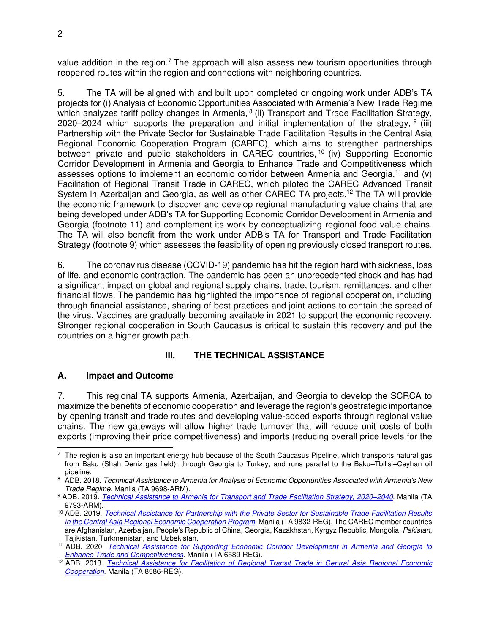value addition in the region.<sup>7</sup> The approach will also assess new tourism opportunities through reopened routes within the region and connections with neighboring countries.

5. The TA will be aligned with and built upon completed or ongoing work under ADB's TA projects for (i) Analysis of Economic Opportunities Associated with Armenia's New Trade Regime which analyzes tariff policy changes in Armenia, <sup>8</sup> (ii) Transport and Trade Facilitation Strategy, 2020–2024 which supports the preparation and initial implementation of the strategy,  $9$  (iii) Partnership with the Private Sector for Sustainable Trade Facilitation Results in the Central Asia Regional Economic Cooperation Program (CAREC), which aims to strengthen partnerships between private and public stakeholders in CAREC countries, <sup>10</sup> (iv) Supporting Economic Corridor Development in Armenia and Georgia to Enhance Trade and Competitiveness which assesses options to implement an economic corridor between Armenia and Georgia,<sup>11</sup> and (v) Facilitation of Regional Transit Trade in CAREC, which piloted the CAREC Advanced Transit System in Azerbaijan and Georgia, as well as other CAREC TA projects.<sup>12</sup> The TA will provide the economic framework to discover and develop regional manufacturing value chains that are being developed under ADB's TA for Supporting Economic Corridor Development in Armenia and Georgia (footnote 11) and complement its work by conceptualizing regional food value chains. The TA will also benefit from the work under ADB's TA for Transport and Trade Facilitation Strategy (footnote 9) which assesses the feasibility of opening previously closed transport routes.

6. The coronavirus disease (COVID-19) pandemic has hit the region hard with sickness, loss of life, and economic contraction. The pandemic has been an unprecedented shock and has had a significant impact on global and regional supply chains, trade, tourism, remittances, and other financial flows. The pandemic has highlighted the importance of regional cooperation, including through financial assistance, sharing of best practices and joint actions to contain the spread of the virus. Vaccines are gradually becoming available in 2021 to support the economic recovery. Stronger regional cooperation in South Caucasus is critical to sustain this recovery and put the countries on a higher growth path.

#### **III. THE TECHNICAL ASSISTANCE**

#### **A. Impact and Outcome**

7. This regional TA supports Armenia, Azerbaijan, and Georgia to develop the SCRCA to maximize the benefits of economic cooperation and leverage the region's geostrategic importance by opening transit and trade routes and developing value-added exports through regional value chains. The new gateways will allow higher trade turnover that will reduce unit costs of both exports (improving their price competitiveness) and imports (reducing overall price levels for the

 $7$  The region is also an important energy hub because of the South Caucasus Pipeline, which transports natural gas from Baku (Shah Deniz gas field), through Georgia to Turkey, and runs parallel to the Baku–Tbilisi–Ceyhan oil pipeline.

<sup>8</sup> ADB. 2018. *Technical Assistance to Armenia for Analysis of Economic Opportunities Associated with Armenia's New Trade Regime.* Manila (TA 9698-ARM).

<sup>9</sup> ADB. 2019. *[Technical Assistance to Armenia for Transport and Trade Facilitation Strategy, 2020](https://www.adb.org/projects/52353-001/main)–2040*. Manila (TA 9793-ARM).

<sup>10</sup> ADB. 2019. *[Technical Assistance for Partnership with the Private Sector for Sustainable Trade Facilitation Results](https://www.adb.org/projects/53177-001/main)  [in the Central Asia Regional Economic Cooperation Program](https://www.adb.org/projects/53177-001/main)*. Manila (TA 9832-REG). The CAREC member countries are Afghanistan*,* Azerbaijan*,* People's Republic of China*,* Georgia, Kazakhstan*,* Kyrgyz Republic*,* Mongolia, *Pakistan*, Tajikistan, Turkmenistan, and Uzbekistan.

<sup>11</sup> ADB. 2020. *[Technical Assistance for Supporting Economic Corridor Development in Armenia and Georgia to](https://www.adb.org/projects/54232-001/main)  [Enhance Trade and Competitiveness](https://www.adb.org/projects/54232-001/main)*. Manila (TA 6589-REG).

<sup>12</sup> ADB. 2013. *[Technical Assistance for Facilitation of Regional Transit Trade in Central Asia Regional Economic](https://www.adb.org/projects/46026-001/main)  [Co](https://www.adb.org/projects/46026-001/main)operation*. Manila (TA 8586-REG).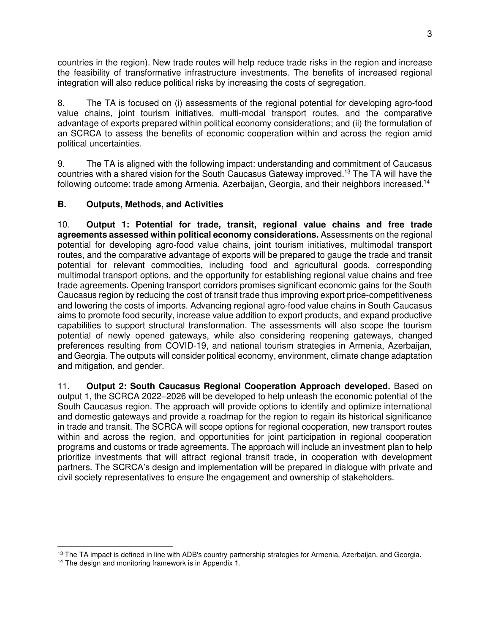countries in the region). New trade routes will help reduce trade risks in the region and increase the feasibility of transformative infrastructure investments. The benefits of increased regional integration will also reduce political risks by increasing the costs of segregation.

8. The TA is focused on (i) assessments of the regional potential for developing agro-food value chains, joint tourism initiatives, multi-modal transport routes, and the comparative advantage of exports prepared within political economy considerations; and (ii) the formulation of an SCRCA to assess the benefits of economic cooperation within and across the region amid political uncertainties.

9. The TA is aligned with the following impact: understanding and commitment of Caucasus countries with a shared vision for the South Caucasus Gateway improved.<sup>13</sup> The TA will have the following outcome: trade among Armenia, Azerbaijan, Georgia, and their neighbors increased.<sup>14</sup>

#### **B. Outputs, Methods, and Activities**

10. **Output 1: Potential for trade, transit, regional value chains and free trade agreements assessed within political economy considerations.** Assessments on the regional potential for developing agro-food value chains, joint tourism initiatives, multimodal transport routes, and the comparative advantage of exports will be prepared to gauge the trade and transit potential for relevant commodities, including food and agricultural goods, corresponding multimodal transport options, and the opportunity for establishing regional value chains and free trade agreements. Opening transport corridors promises significant economic gains for the South Caucasus region by reducing the cost of transit trade thus improving export price-competitiveness and lowering the costs of imports. Advancing regional agro-food value chains in South Caucasus aims to promote food security, increase value addition to export products, and expand productive capabilities to support structural transformation. The assessments will also scope the tourism potential of newly opened gateways, while also considering reopening gateways, changed preferences resulting from COVID-19, and national tourism strategies in Armenia, Azerbaijan, and Georgia. The outputs will consider political economy, environment, climate change adaptation and mitigation, and gender.

11. **Output 2: South Caucasus Regional Cooperation Approach developed.** Based on output 1, the SCRCA 2022–2026 will be developed to help unleash the economic potential of the South Caucasus region. The approach will provide options to identify and optimize international and domestic gateways and provide a roadmap for the region to regain its historical significance in trade and transit. The SCRCA will scope options for regional cooperation, new transport routes within and across the region, and opportunities for joint participation in regional cooperation programs and customs or trade agreements. The approach will include an investment plan to help prioritize investments that will attract regional transit trade, in cooperation with development partners. The SCRCA's design and implementation will be prepared in dialogue with private and civil society representatives to ensure the engagement and ownership of stakeholders.

<sup>&</sup>lt;sup>13</sup> The TA impact is defined in line with ADB's country partnership strategies for Armenia, Azerbaijan, and Georgia.

<sup>&</sup>lt;sup>14</sup> The design and monitoring framework is in Appendix 1.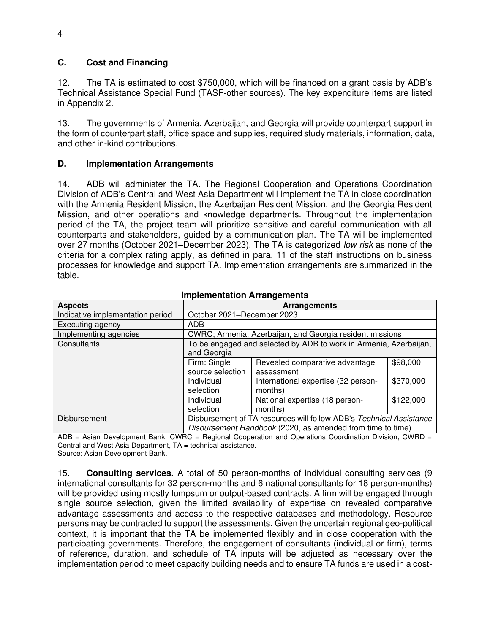#### **C. Cost and Financing**

12. The TA is estimated to cost \$750,000, which will be financed on a grant basis by ADB's Technical Assistance Special Fund (TASF-other sources). The key expenditure items are listed in Appendix 2.

13. The governments of Armenia, Azerbaijan, and Georgia will provide counterpart support in the form of counterpart staff, office space and supplies, required study materials, information, data, and other in-kind contributions.

#### **D. Implementation Arrangements**

14. ADB will administer the TA. The Regional Cooperation and Operations Coordination Division of ADB's Central and West Asia Department will implement the TA in close coordination with the Armenia Resident Mission, the Azerbaijan Resident Mission, and the Georgia Resident Mission, and other operations and knowledge departments. Throughout the implementation period of the TA, the project team will prioritize sensitive and careful communication with all counterparts and stakeholders, guided by a communication plan. The TA will be implemented over 27 months (October 2021–December 2023). The TA is categorized *low risk* as none of the criteria for a complex rating apply, as defined in para. 11 of the staff instructions on business processes for knowledge and support TA. Implementation arrangements are summarized in the table.

| <b>Aspects</b>                   | <b>Arrangements</b>                                               |                                                                     |           |  |
|----------------------------------|-------------------------------------------------------------------|---------------------------------------------------------------------|-----------|--|
| Indicative implementation period | October 2021-December 2023                                        |                                                                     |           |  |
| Executing agency                 | ADB                                                               |                                                                     |           |  |
| Implementing agencies            | CWRC; Armenia, Azerbaijan, and Georgia resident missions          |                                                                     |           |  |
| Consultants                      | To be engaged and selected by ADB to work in Armenia, Azerbaijan, |                                                                     |           |  |
|                                  | and Georgia                                                       |                                                                     |           |  |
|                                  | Firm: Single                                                      | Revealed comparative advantage                                      | \$98,000  |  |
|                                  | source selection                                                  | assessment                                                          |           |  |
|                                  | Individual                                                        | International expertise (32 person-                                 | \$370,000 |  |
|                                  | selection                                                         | months)                                                             |           |  |
|                                  | Individual                                                        | National expertise (18 person-                                      | \$122,000 |  |
|                                  | selection                                                         | months)                                                             |           |  |
| Disbursement                     |                                                                   | Disbursement of TA resources will follow ADB's Technical Assistance |           |  |
|                                  | Disbursement Handbook (2020, as amended from time to time).       |                                                                     |           |  |

#### **Implementation Arrangements**

ADB = Asian Development Bank, CWRC = Regional Cooperation and Operations Coordination Division, CWRD = Central and West Asia Department, TA = technical assistance. Source: Asian Development Bank.

15. **Consulting services.** A total of 50 person-months of individual consulting services (9 international consultants for 32 person-months and 6 national consultants for 18 person-months) will be provided using mostly lumpsum or output-based contracts. A firm will be engaged through single source selection, given the limited availability of expertise on revealed comparative advantage assessments and access to the respective databases and methodology. Resource persons may be contracted to support the assessments. Given the uncertain regional geo-political context, it is important that the TA be implemented flexibly and in close cooperation with the participating governments. Therefore, the engagement of consultants (individual or firm), terms of reference, duration, and schedule of TA inputs will be adjusted as necessary over the implementation period to meet capacity building needs and to ensure TA funds are used in a cost-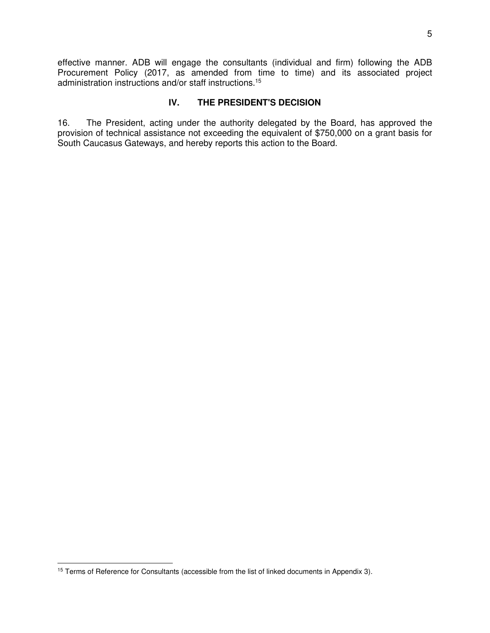effective manner. ADB will engage the consultants (individual and firm) following the ADB Procurement Policy (2017, as amended from time to time) and its associated project administration instructions and/or staff instructions.<sup>15</sup>

#### **IV. THE PRESIDENT'S DECISION**

16. The President, acting under the authority delegated by the Board, has approved the provision of technical assistance not exceeding the equivalent of \$750,000 on a grant basis for South Caucasus Gateways, and hereby reports this action to the Board.

<sup>&</sup>lt;sup>15</sup> Terms of Reference for Consultants (accessible from the list of linked documents in Appendix 3).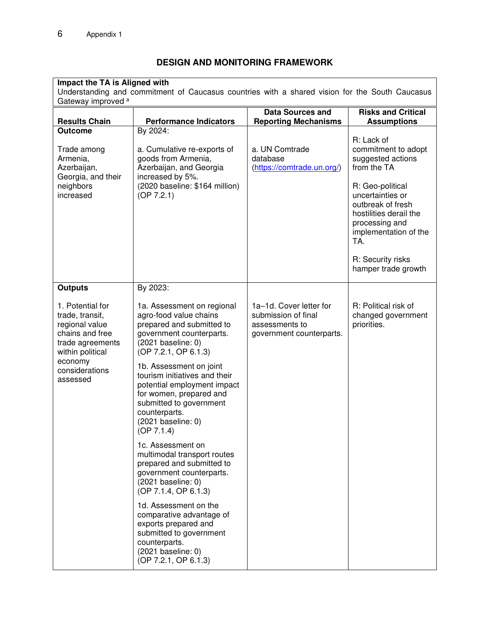### **DESIGN AND MONITORING FRAMEWORK**

# **Impact the TA is Aligned with**

Understanding and commitment of Caucasus countries with a shared vision for the South Caucasus Gateway improved a

| <b>Results Chain</b>                                                                                                                                                        | <b>Performance Indicators</b>                                                                                                                                                                                                                                                                                                                                                                                                                                                                                                                                                                                                                                                                                         | <b>Data Sources and</b><br><b>Reporting Mechanisms</b>                                       | <b>Risks and Critical</b><br><b>Assumptions</b>                                                                                                                                                                                                            |
|-----------------------------------------------------------------------------------------------------------------------------------------------------------------------------|-----------------------------------------------------------------------------------------------------------------------------------------------------------------------------------------------------------------------------------------------------------------------------------------------------------------------------------------------------------------------------------------------------------------------------------------------------------------------------------------------------------------------------------------------------------------------------------------------------------------------------------------------------------------------------------------------------------------------|----------------------------------------------------------------------------------------------|------------------------------------------------------------------------------------------------------------------------------------------------------------------------------------------------------------------------------------------------------------|
| <b>Outcome</b><br>Trade among<br>Armenia,<br>Azerbaijan,<br>Georgia, and their<br>neighbors<br>increased                                                                    | By 2024:<br>a. Cumulative re-exports of<br>goods from Armenia,<br>Azerbaijan, and Georgia<br>increased by 5%.<br>(2020 baseline: \$164 million)<br>(OP 7.2.1)                                                                                                                                                                                                                                                                                                                                                                                                                                                                                                                                                         | a. UN Comtrade<br>database<br>(https://comtrade.un.org/)                                     | R: Lack of<br>commitment to adopt<br>suggested actions<br>from the TA<br>R: Geo-political<br>uncertainties or<br>outbreak of fresh<br>hostilities derail the<br>processing and<br>implementation of the<br>TA.<br>R: Security risks<br>hamper trade growth |
| <b>Outputs</b><br>1. Potential for<br>trade, transit,<br>regional value<br>chains and free<br>trade agreements<br>within political<br>economy<br>considerations<br>assessed | By 2023:<br>1a. Assessment on regional<br>agro-food value chains<br>prepared and submitted to<br>government counterparts.<br>$(2021)$ baseline: 0)<br>(OP 7.2.1, OP 6.1.3)<br>1b. Assessment on joint<br>tourism initiatives and their<br>potential employment impact<br>for women, prepared and<br>submitted to government<br>counterparts.<br>(2021 baseline: 0)<br>(OP 7.1.4)<br>1c. Assessment on<br>multimodal transport routes<br>prepared and submitted to<br>government counterparts.<br>$(2021)$ baseline: 0)<br>(OP 7.1.4, OP 6.1.3)<br>1d. Assessment on the<br>comparative advantage of<br>exports prepared and<br>submitted to government<br>counterparts.<br>(2021 baseline: 0)<br>(OP 7.2.1, OP 6.1.3) | 1a-1d. Cover letter for<br>submission of final<br>assessments to<br>government counterparts. | R: Political risk of<br>changed government<br>priorities.                                                                                                                                                                                                  |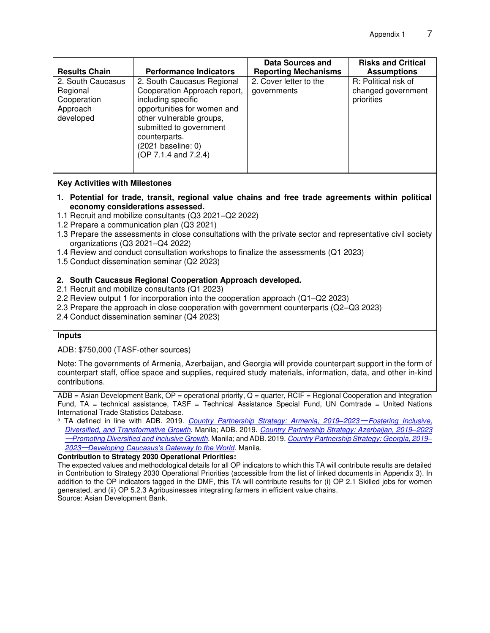|                                                                                               |                                                                                                                                                                                                                                                                        | Data Sources and                                                     | <b>Risks and Critical</b>                                                      |
|-----------------------------------------------------------------------------------------------|------------------------------------------------------------------------------------------------------------------------------------------------------------------------------------------------------------------------------------------------------------------------|----------------------------------------------------------------------|--------------------------------------------------------------------------------|
| <b>Results Chain</b><br>2. South Caucasus<br>Regional<br>Cooperation<br>Approach<br>developed | <b>Performance Indicators</b><br>2. South Caucasus Regional<br>Cooperation Approach report,<br>including specific<br>opportunities for women and<br>other vulnerable groups,<br>submitted to government<br>counterparts.<br>(2021 baseline: 0)<br>(OP 7.1.4 and 7.2.4) | <b>Reporting Mechanisms</b><br>2. Cover letter to the<br>governments | <b>Assumptions</b><br>R: Political risk of<br>changed government<br>priorities |
|                                                                                               |                                                                                                                                                                                                                                                                        |                                                                      |                                                                                |

#### **Key Activities with Milestones**

- **1. Potential for trade, transit, regional value chains and free trade agreements within political economy considerations assessed.**
- 1.1 Recruit and mobilize consultants (Q3 2021–Q2 2022)
- 1.2 Prepare a communication plan (Q3 2021)
- 1.3 Prepare the assessments in close consultations with the private sector and representative civil society organizations (Q3 2021–Q4 2022)
- 1.4 Review and conduct consultation workshops to finalize the assessments (Q1 2023)
- 1.5 Conduct dissemination seminar (Q2 2023)

#### **2. South Caucasus Regional Cooperation Approach developed.**

- 2.1 Recruit and mobilize consultants (Q1 2023)
- 2.2 Review output 1 for incorporation into the cooperation approach (Q1–Q2 2023)
- 2.3 Prepare the approach in close cooperation with government counterparts (Q2–Q3 2023)
- 2.4 Conduct dissemination seminar (Q4 2023)

#### **Inputs**

ADB: \$750,000 (TASF-other sources)

Note: The governments of Armenia, Azerbaijan, and Georgia will provide counterpart support in the form of counterpart staff, office space and supplies, required study materials, information, data, and other in-kind contributions.

ADB = Asian Development Bank, OP = operational priority, Q = quarter, RCIF = Regional Cooperation and Integration Fund, TA = technical assistance, TASF = Technical Assistance Special Fund, UN Comtrade = United Nations International Trade Statistics Database.

<sup>a</sup> TA defined in line with ADB. 2019. *[Country Partnership Strategy: Armenia, 2019](https://www.adb.org/sites/default/files/institutional-document/540146/cps-arm-2019-2023.pdf)*–2023<sup>—</sup> Fostering Inclusive, *[Diversified, and Transformative Growth](https://www.adb.org/sites/default/files/institutional-document/540146/cps-arm-2019-2023.pdf)*. Manila; ADB. 2019. *[Country Partnership Strategy: Azerbaijan, 2019](https://www.adb.org/sites/default/files/institutional-document/510266/cps-aze-2019-2023.pdf)‒2023* ─*[Promoting Diversified and Inclusive Growth](https://www.adb.org/sites/default/files/institutional-document/510266/cps-aze-2019-2023.pdf)*. Manila; and ADB. 2019. *[Country Partnership Strategy: Georgia, 2019](https://www.adb.org/sites/default/files/institutional-document/521601/cps-geo-2019-2023.pdf)‒ 2023*─*[Developing Caucasus's Gateway to the World](https://www.adb.org/sites/default/files/institutional-document/521601/cps-geo-2019-2023.pdf)*. Manila.

**Contribution to Strategy 2030 Operational Priorities:** 

The expected values and methodological details for all OP indicators to which this TA will contribute results are detailed in Contribution to Strategy 2030 Operational Priorities (accessible from the list of linked documents in Appendix 3). In addition to the OP indicators tagged in the DMF, this TA will contribute results for (i) OP 2.1 Skilled jobs for women generated, and (ii) OP 5.2.3 Agribusinesses integrating farmers in efficient value chains. Source: Asian Development Bank.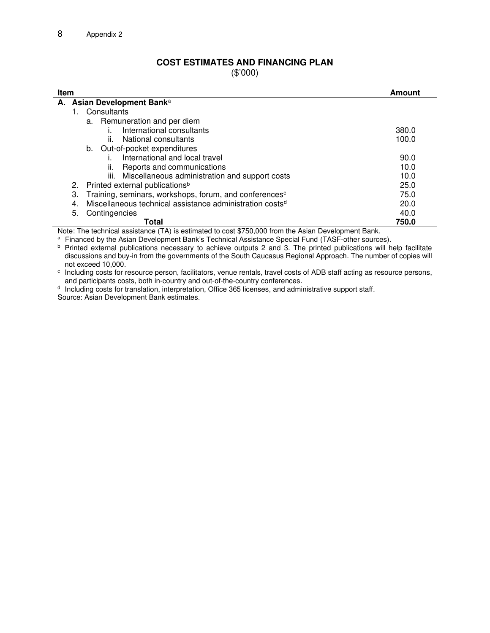#### **COST ESTIMATES AND FINANCING PLAN**

(\$'000)

| Item |                            |                                                                      | Amount |  |
|------|----------------------------|----------------------------------------------------------------------|--------|--|
|      | A. Asian Development Banka |                                                                      |        |  |
|      |                            | Consultants                                                          |        |  |
|      |                            | a. Remuneration and per diem                                         |        |  |
|      |                            | International consultants                                            | 380.0  |  |
|      |                            | ii.<br>National consultants                                          | 100.0  |  |
|      |                            | b. Out-of-pocket expenditures                                        |        |  |
|      |                            | International and local travel                                       | 90.0   |  |
|      |                            | Reports and communications<br>ii.                                    | 10.0   |  |
|      |                            | iii. Miscellaneous administration and support costs                  | 10.0   |  |
|      | 2.                         | Printed external publications <sup>b</sup>                           | 25.0   |  |
|      | 3.                         | Training, seminars, workshops, forum, and conferences <sup>c</sup>   | 75.0   |  |
|      | 4.                         | Miscellaneous technical assistance administration costs <sup>d</sup> | 20.0   |  |
|      | 5.                         | Contingencies                                                        | 40.0   |  |
|      |                            | Total                                                                | 750.0  |  |

Note: The technical assistance (TA) is estimated to cost \$750,000 from the Asian Development Bank.

a Financed by the Asian Development Bank's Technical Assistance Special Fund (TASF-other sources).

b Printed external publications necessary to achieve outputs 2 and 3. The printed publications will help facilitate discussions and buy-in from the governments of the South Caucasus Regional Approach. The number of copies will not exceed 10,000.

c Including costs for resource person, facilitators, venue rentals, travel costs of ADB staff acting as resource persons, and participants costs, both in-country and out-of-the-country conferences.

<sup>d</sup> Including costs for translation, interpretation, Office 365 licenses, and administrative support staff. Source: Asian Development Bank estimates.